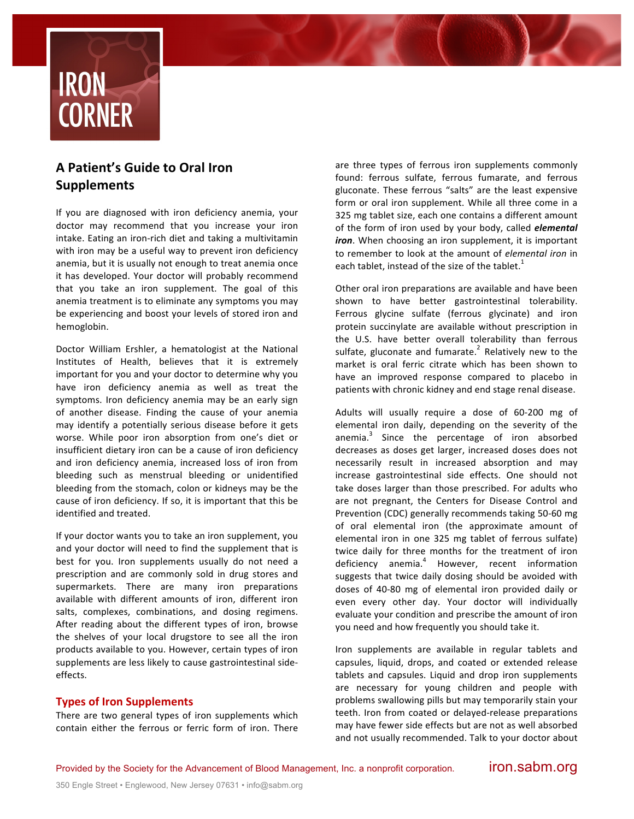

# **A Patient's Guide to Oral Iron Supplements**

If you are diagnosed with iron deficiency anemia, your doctor may recommend that you increase your iron intake. Eating an iron-rich diet and taking a multivitamin with iron may be a useful way to prevent iron deficiency anemia, but it is usually not enough to treat anemia once it has developed. Your doctor will probably recommend that you take an iron supplement. The goal of this anemia treatment is to eliminate any symptoms you may be experiencing and boost your levels of stored iron and hemoglobin.

Doctor William Ershler, a hematologist at the National Institutes of Health, believes that it is extremely important for you and your doctor to determine why you have iron deficiency anemia as well as treat the symptoms. Iron deficiency anemia may be an early sign of another disease. Finding the cause of your anemia may identify a potentially serious disease before it gets worse. While poor iron absorption from one's diet or insufficient dietary iron can be a cause of iron deficiency and iron deficiency anemia, increased loss of iron from bleeding such as menstrual bleeding or unidentified bleeding from the stomach, colon or kidneys may be the cause of iron deficiency. If so, it is important that this be identified and treated.

If your doctor wants you to take an iron supplement, you and your doctor will need to find the supplement that is best for you. Iron supplements usually do not need a prescription and are commonly sold in drug stores and supermarkets. There are many iron preparations available with different amounts of iron, different iron salts, complexes, combinations, and dosing regimens. After reading about the different types of iron, browse the shelves of your local drugstore to see all the iron products available to you. However, certain types of iron supplements are less likely to cause gastrointestinal sideeffects.

## **Types of Iron Supplements**

There are two general types of iron supplements which contain either the ferrous or ferric form of iron. There are three types of ferrous iron supplements commonly found: ferrous sulfate, ferrous fumarate, and ferrous gluconate. These ferrous "salts" are the least expensive form or oral iron supplement. While all three come in a 325 mg tablet size, each one contains a different amount of the form of iron used by your body, called *elemental* iron. When choosing an iron supplement, it is important to remember to look at the amount of *elemental iron* in each tablet, instead of the size of the tablet.<sup>1</sup>

Other oral iron preparations are available and have been shown to have better gastrointestinal tolerability. Ferrous glycine sulfate (ferrous glycinate) and iron protein succinylate are available without prescription in the U.S. have better overall tolerability than ferrous sulfate, gluconate and fumarate.<sup>2</sup> Relatively new to the market is oral ferric citrate which has been shown to have an improved response compared to placebo in patients with chronic kidney and end stage renal disease.

Adults will usually require a dose of 60-200 mg of elemental iron daily, depending on the severity of the anemia. $3$  Since the percentage of iron absorbed decreases as doses get larger, increased doses does not necessarily result in increased absorption and may increase gastrointestinal side effects. One should not take doses larger than those prescribed. For adults who are not pregnant, the Centers for Disease Control and Prevention (CDC) generally recommends taking 50-60 mg of oral elemental iron (the approximate amount of elemental iron in one 325 mg tablet of ferrous sulfate) twice daily for three months for the treatment of iron deficiency anemia.<sup>4</sup> However, recent information suggests that twice daily dosing should be avoided with doses of 40-80 mg of elemental iron provided daily or even every other day. Your doctor will individually evaluate your condition and prescribe the amount of iron you need and how frequently you should take it.

Iron supplements are available in regular tablets and capsules, liquid, drops, and coated or extended release tablets and capsules. Liquid and drop iron supplements are necessary for young children and people with problems swallowing pills but may temporarily stain your teeth. Iron from coated or delayed-release preparations may have fewer side effects but are not as well absorbed and not usually recommended. Talk to your doctor about